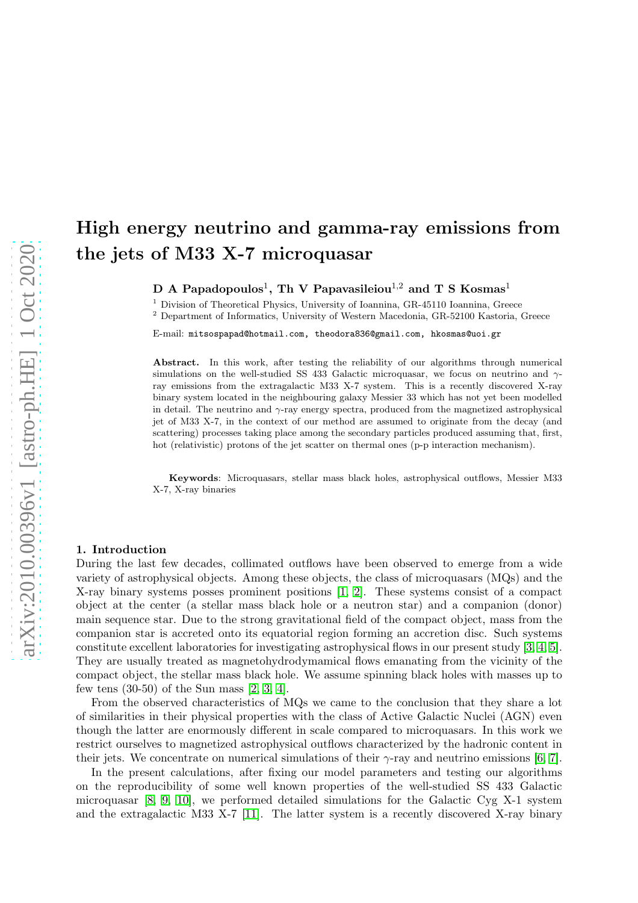# High energy neutrino and gamma-ray emissions from the jets of M33 X-7 microquasar

D A Papadopoulos $^1, \hbox{ Th} \hbox{ V}$  Papavasileiou $^{1,2}$  and T S Kosmas $^1$ 

<sup>1</sup> Division of Theoretical Physics, University of Ioannina, GR-45110 Ioannina, Greece

 $^{\rm 2}$  Department of Informatics, University of Western Macedonia, GR-52100 Kastoria, Greece

E-mail: mitsospapad@hotmail.com, theodora836@gmail.com, hkosmas@uoi.gr

Abstract. In this work, after testing the reliability of our algorithms through numerical simulations on the well-studied SS 433 Galactic microquasar, we focus on neutrino and  $\gamma$ ray emissions from the extragalactic M33 X-7 system. This is a recently discovered X-ray binary system located in the neighbouring galaxy Messier 33 which has not yet been modelled in detail. The neutrino and  $\gamma$ -ray energy spectra, produced from the magnetized astrophysical jet of M33 X-7, in the context of our method are assumed to originate from the decay (and scattering) processes taking place among the secondary particles produced assuming that, first, hot (relativistic) protons of the jet scatter on thermal ones (p-p interaction mechanism).

Keywords: Microquasars, stellar mass black holes, astrophysical outflows, Messier M33 X-7, X-ray binaries

#### 1. Introduction

During the last few decades, collimated outflows have been observed to emerge from a wide variety of astrophysical objects. Among these objects, the class of microquasars (MQs) and the X-ray binary systems posses prominent positions [\[1,](#page-5-0) [2\]](#page-5-1). These systems consist of a compact object at the center (a stellar mass black hole or a neutron star) and a companion (donor) main sequence star. Due to the strong gravitational field of the compact object, mass from the companion star is accreted onto its equatorial region forming an accretion disc. Such systems constitute excellent laboratories for investigating astrophysical flows in our present study [\[3,](#page-5-2) [4,](#page-5-3) [5\]](#page-5-4). They are usually treated as magnetohydrodymamical flows emanating from the vicinity of the compact object, the stellar mass black hole. We assume spinning black holes with masses up to few tens (30-50) of the Sun mass [\[2,](#page-5-1) [3,](#page-5-2) [4\]](#page-5-3).

From the observed characteristics of MQs we came to the conclusion that they share a lot of similarities in their physical properties with the class of Active Galactic Nuclei (AGN) even though the latter are enormously different in scale compared to microquasars. In this work we restrict ourselves to magnetized astrophysical outflows characterized by the hadronic content in their jets. We concentrate on numerical simulations of their  $\gamma$ -ray and neutrino emissions [\[6,](#page-5-5) [7\]](#page-5-6).

In the present calculations, after fixing our model parameters and testing our algorithms on the reproducibility of some well known properties of the well-studied SS 433 Galactic microquasar  $[8, 9, 10]$  $[8, 9, 10]$  $[8, 9, 10]$ , we performed detailed simulations for the Galactic Cyg X-1 system and the extragalactic M33 X-7 [\[11\]](#page-5-10). The latter system is a recently discovered X-ray binary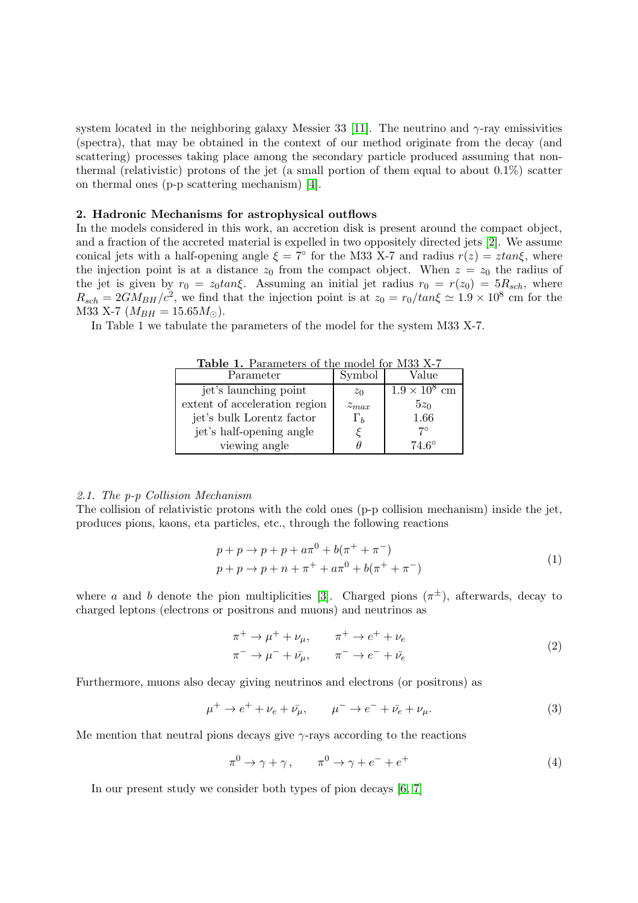system located in the neighboring galaxy Messier 33 [\[11\]](#page-5-10). The neutrino and  $\gamma$ -ray emissivities (spectra), that may be obtained in the context of our method originate from the decay (and scattering) processes taking place among the secondary particle produced assuming that nonthermal (relativistic) protons of the jet (a small portion of them equal to about  $0.1\%$ ) scatter on thermal ones (p-p scattering mechanism) [\[4\]](#page-5-3).

### 2. Hadronic Mechanisms for astrophysical outflows

In the models considered in this work, an accretion disk is present around the compact object, and a fraction of the accreted material is expelled in two oppositely directed jets [\[2\]](#page-5-1). We assume conical jets with a half-opening angle  $\xi = 7^\circ$  for the M33 X-7 and radius  $r(z) = z \tan \xi$ , where the injection point is at a distance  $z_0$  from the compact object. When  $z = z_0$  the radius of the jet is given by  $r_0 = z_0 \tan \xi$ . Assuming an initial jet radius  $r_0 = r(z_0) = 5R_{sch}$ , where  $R_{sch} = 2GM_{BH}/c^2$ , we find that the injection point is at  $z_0 = r_0/tan\xi \simeq 1.9 \times 10^8$  cm for the M33 X-7  $(M_{BH} = 15.65 M_{\odot})$ .

In Table 1 we tabulate the parameters of the model for the system M33 X-7.

| 1. 61. M.M<br>$\textbf{1} \cdot \textbf{1}$ alam $\text{1} \cdot \text{1}$<br>UCI IOI INIUU INTI |            |                      |
|--------------------------------------------------------------------------------------------------|------------|----------------------|
| Parameter                                                                                        | Symbol     | Value                |
| jet's launching point                                                                            | $z_0$      | $1.9 \times 10^8$ cm |
| extent of acceleration region                                                                    | $z_{max}$  | $5z_0$               |
| jet's bulk Lorentz factor                                                                        | $\Gamma_b$ | 1.66                 |
| jet's half-opening angle                                                                         |            | $7^\circ$            |
| viewing angle                                                                                    |            | $74.6^{\circ}$       |

Table 1. Parameters of the model for M33 X-7

### 2.1. The p-p Collision Mechanism

The collision of relativistic protons with the cold ones (p-p collision mechanism) inside the jet, produces pions, kaons, eta particles, etc., through the following reactions

$$
p + p \to p + p + a\pi^{0} + b(\pi^{+} + \pi^{-})
$$
  
\n
$$
p + p \to p + n + \pi^{+} + a\pi^{0} + b(\pi^{+} + \pi^{-})
$$
\n(1)

where a and b denote the pion multiplicities [\[3\]](#page-5-2). Charged pions  $(\pi^{\pm})$ , afterwards, decay to charged leptons (electrons or positrons and muons) and neutrinos as

$$
\begin{aligned}\n\pi^+ \to \mu^+ + \nu_\mu, & \pi^+ \to e^+ + \nu_e \\
\pi^- \to \mu^- + \bar{\nu_\mu}, & \pi^- \to e^- + \bar{\nu_e}\n\end{aligned} \tag{2}
$$

Furthermore, muons also decay giving neutrinos and electrons (or positrons) as

$$
\mu^{+} \to e^{+} + \nu_{e} + \bar{\nu_{\mu}}, \qquad \mu^{-} \to e^{-} + \bar{\nu_{e}} + \nu_{\mu}. \tag{3}
$$

Me mention that neutral pions decays give  $\gamma$ -rays according to the reactions

$$
\pi^0 \to \gamma + \gamma \,, \qquad \pi^0 \to \gamma + e^- + e^+ \tag{4}
$$

In our present study we consider both types of pion decays [\[6,](#page-5-5) [7\]](#page-5-6)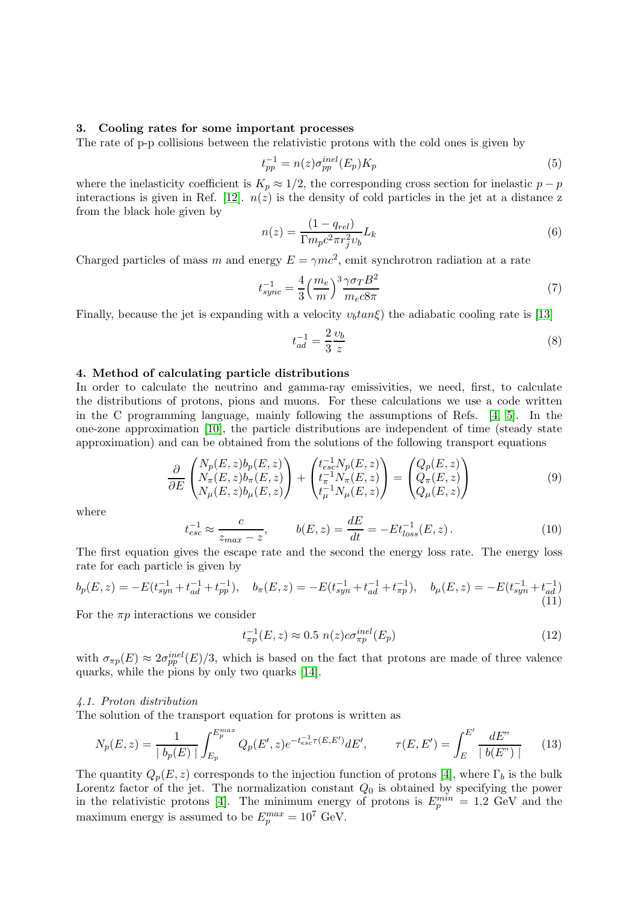### 3. Cooling rates for some important processes

The rate of p-p collisions between the relativistic protons with the cold ones is given by

$$
t_{pp}^{-1} = n(z)\sigma_{pp}^{inel}(E_p)K_p
$$
\n<sup>(5)</sup>

where the inelasticity coefficient is  $K_p \approx 1/2$ , the corresponding cross section for inelastic  $p - p$ interactions is given in Ref. [\[12\]](#page-5-11).  $n(z)$  is the density of cold particles in the jet at a distance z from the black hole given by

$$
n(z) = \frac{(1 - q_{rel})}{\Gamma m_p c^2 \pi r_j^2 v_b} L_k
$$
\n
$$
(6)
$$

Charged particles of mass m and energy  $E = \gamma mc^2$ , emit synchrotron radiation at a rate

$$
t_{sync}^{-1} = \frac{4}{3} \left(\frac{m_e}{m}\right)^3 \frac{\gamma \sigma_T B^2}{m_e c 8\pi} \tag{7}
$$

Finally, because the jet is expanding with a velocity  $v<sub>b</sub>tan\xi$  the adiabatic cooling rate is [\[13\]](#page-5-12)

$$
t_{ad}^{-1} = \frac{2}{3} \frac{\upsilon_b}{z} \tag{8}
$$

# 4. Method of calculating particle distributions

In order to calculate the neutrino and gamma-ray emissivities, we need, first, to calculate the distributions of protons, pions and muons. For these calculations we use a code written in the C programming language, mainly following the assumptions of Refs. [\[4,](#page-5-3) [5\]](#page-5-4). In the one-zone approximation [\[10\]](#page-5-9), the particle distributions are independent of time (steady state approximation) and can be obtained from the solutions of the following transport equations

$$
\frac{\partial}{\partial E} \begin{pmatrix} N_p(E,z)b_p(E,z) \\ N_\pi(E,z)b_\pi(E,z) \\ N_\mu(E,z)b_\mu(E,z) \end{pmatrix} + \begin{pmatrix} t_{esc}^{-1}N_p(E,z) \\ t_\pi^{-1}N_\pi(E,z) \\ t_\mu^{-1}N_\mu(E,z) \end{pmatrix} = \begin{pmatrix} Q_p(E,z) \\ Q_\pi(E,z) \\ Q_\mu(E,z) \end{pmatrix}
$$
(9)

where

$$
t_{esc}^{-1} \approx \frac{c}{z_{max} - z}, \qquad b(E, z) = \frac{dE}{dt} = -Et_{loss}^{-1}(E, z). \tag{10}
$$

The first equation gives the escape rate and the second the energy loss rate. The energy loss rate for each particle is given by

$$
b_p(E, z) = -E(t_{syn}^{-1} + t_{ad}^{-1} + t_{pp}^{-1}), \quad b_\pi(E, z) = -E(t_{syn}^{-1} + t_{ad}^{-1} + t_{\pi p}^{-1}), \quad b_\mu(E, z) = -E(t_{syn}^{-1} + t_{ad}^{-1})
$$
\n(11)

For the  $\pi p$  interactions we consider

$$
t_{\pi p}^{-1}(E, z) \approx 0.5 \ n(z)c\sigma_{\pi p}^{inel}(E_p) \tag{12}
$$

with  $\sigma_{\pi p}(E) \approx 2\sigma_{pp}^{inel}(E)/3$ , which is based on the fact that protons are made of three valence quarks, while the pions by only two quarks [\[14\]](#page-5-13).

### 4.1. Proton distribution

The solution of the transport equation for protons is written as

$$
N_p(E, z) = \frac{1}{|b_p(E)|} \int_{E_p}^{E_p^{max}} Q_p(E', z) e^{-t_{esc}^{-1}(E, E')} dE', \qquad \tau(E, E') = \int_{E}^{E'} \frac{dE''}{|b(E'')|}
$$
(13)

The quantity  $Q_p(E, z)$  corresponds to the injection function of protons [\[4\]](#page-5-3), where  $\Gamma_b$  is the bulk Lorentz factor of the jet. The normalization constant  $Q_0$  is obtained by specifying the power in the relativistic protons [\[4\]](#page-5-3). The minimum energy of protons is  $E_p^{min} = 1.2$  GeV and the maximum energy is assumed to be  $E_p^{max} = 10^7$  GeV.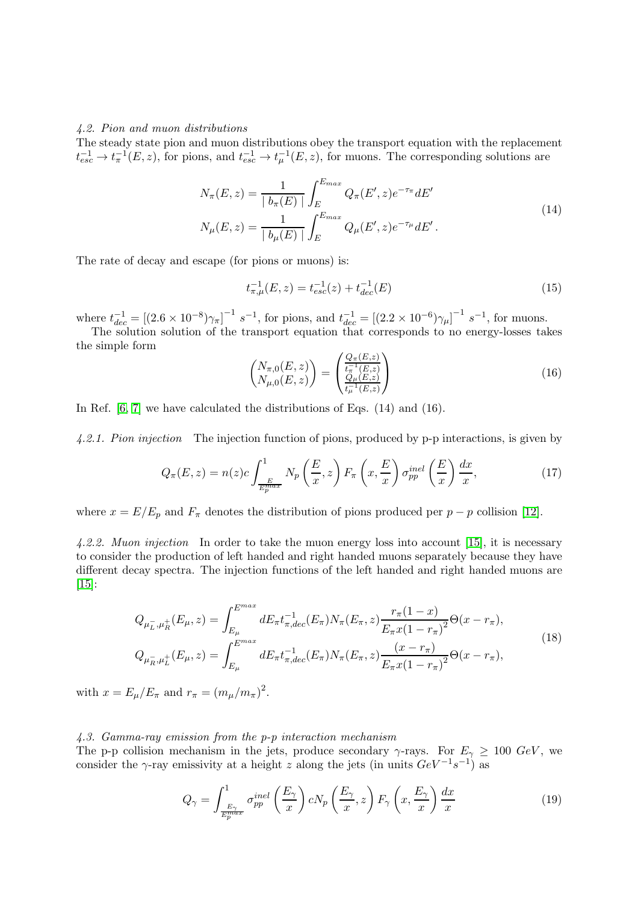#### 4.2. Pion and muon distributions

The steady state pion and muon distributions obey the transport equation with the replacement  $t_{esc}^{-1} \to t_{\pi}^{-1}(E, z)$ , for pions, and  $t_{esc}^{-1} \to t_{\mu}^{-1}(E, z)$ , for muons. The corresponding solutions are

$$
N_{\pi}(E, z) = \frac{1}{|b_{\pi}(E)|} \int_{E}^{E_{max}} Q_{\pi}(E', z) e^{-\tau_{\pi}} dE'
$$
  
\n
$$
N_{\mu}(E, z) = \frac{1}{|b_{\mu}(E)|} \int_{E}^{E_{max}} Q_{\mu}(E', z) e^{-\tau_{\mu}} dE'.
$$
\n(14)

The rate of decay and escape (for pions or muons) is:

$$
t_{\pi,\mu}^{-1}(E,z) = t_{esc}^{-1}(z) + t_{dec}^{-1}(E)
$$
\n(15)

where  $t_{dec}^{-1} = [(2.6 \times 10^{-8})\gamma_{\pi}]^{-1} s^{-1}$ , for pions, and  $t_{dec}^{-1} = [(2.2 \times 10^{-6})\gamma_{\mu}]^{-1} s^{-1}$ , for muons.

The solution solution of the transport equation that corresponds to no energy-losses takes the simple form

$$
\begin{pmatrix} N_{\pi,0}(E,z) \\ N_{\mu,0}(E,z) \end{pmatrix} = \begin{pmatrix} \frac{Q_{\pi}(E,z)}{t_{\pi}^{-1}(E,z)} \\ \frac{Q_{\mu}(E,z)}{t_{\mu}^{-1}(E,z)} \end{pmatrix}
$$
\n(16)

In Ref.  $[6, 7]$  $[6, 7]$  we have calculated the distributions of Eqs.  $(14)$  and  $(16)$ .

4.2.1. Pion injection The injection function of pions, produced by p-p interactions, is given by

$$
Q_{\pi}(E,z) = n(z)c \int_{\frac{E}{E_p^{max}}}^{1} N_p\left(\frac{E}{x},z\right) F_{\pi}\left(x,\frac{E}{x}\right) \sigma_{pp}^{inel}\left(\frac{E}{x}\right) \frac{dx}{x},\tag{17}
$$

where  $x = E/E_p$  and  $F_\pi$  denotes the distribution of pions produced per  $p - p$  collision [\[12\]](#page-5-11).

4.2.2. Muon injection In order to take the muon energy loss into account [\[15\]](#page-5-14), it is necessary to consider the production of left handed and right handed muons separately because they have different decay spectra. The injection functions of the left handed and right handed muons are [\[15\]](#page-5-14):

$$
Q_{\mu_L^-, \mu_R^+}(E_\mu, z) = \int_{E_\mu}^{E^{max}} dE_\pi t_{\pi, dec}^{-1}(E_\pi) N_\pi(E_\pi, z) \frac{r_\pi (1 - x)}{E_\pi x (1 - r_\pi)^2} \Theta(x - r_\pi),
$$
  
\n
$$
Q_{\mu_R^-, \mu_L^+}(E_\mu, z) = \int_{E_\mu}^{E^{max}} dE_\pi t_{\pi, dec}^{-1}(E_\pi) N_\pi(E_\pi, z) \frac{(x - r_\pi)}{E_\pi x (1 - r_\pi)^2} \Theta(x - r_\pi),
$$
\n(18)

with  $x = E_{\mu}/E_{\pi}$  and  $r_{\pi} = (m_{\mu}/m_{\pi})^2$ .

## 4.3. Gamma-ray emission from the p-p interaction mechanism

The p-p collision mechanism in the jets, produce secondary  $\gamma$ -rays. For  $E_{\gamma} \geq 100 \text{ GeV}$ , we consider the γ-ray emissivity at a height z along the jets (in units  $GeV^{-1}s^{-1}$ ) as

$$
Q_{\gamma} = \int_{\frac{E_{\gamma}}{E_{p}^{max}}}^1 \sigma_{pp}^{inel} \left(\frac{E_{\gamma}}{x}\right) c N_p \left(\frac{E_{\gamma}}{x}, z\right) F_{\gamma} \left(x, \frac{E_{\gamma}}{x}\right) \frac{dx}{x}
$$
(19)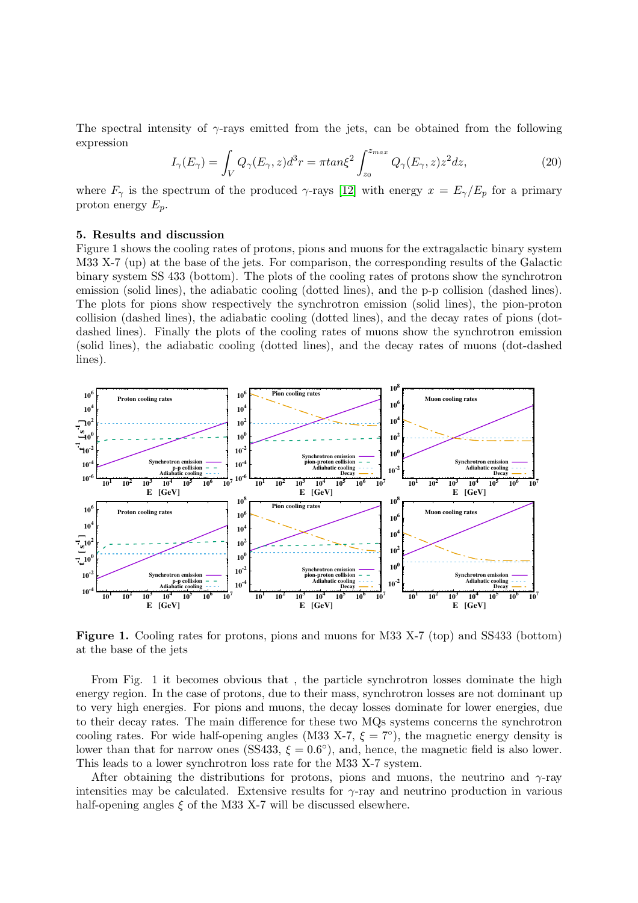The spectral intensity of  $\gamma$ -rays emitted from the jets, can be obtained from the following expression

$$
I_{\gamma}(E_{\gamma}) = \int_{V} Q_{\gamma}(E_{\gamma}, z)d^{3}r = \pi \tan \xi^{2} \int_{z_{0}}^{z_{max}} Q_{\gamma}(E_{\gamma}, z)z^{2} dz,
$$
\n(20)

where  $F_{\gamma}$  is the spectrum of the produced  $\gamma$ -rays [\[12\]](#page-5-11) with energy  $x = E_{\gamma}/E_p$  for a primary proton energy  $E_p$ .

### 5. Results and discussion

Figure 1 shows the cooling rates of protons, pions and muons for the extragalactic binary system M33 X-7 (up) at the base of the jets. For comparison, the corresponding results of the Galactic binary system SS 433 (bottom). The plots of the cooling rates of protons show the synchrotron emission (solid lines), the adiabatic cooling (dotted lines), and the p-p collision (dashed lines). The plots for pions show respectively the synchrotron emission (solid lines), the pion-proton collision (dashed lines), the adiabatic cooling (dotted lines), and the decay rates of pions (dotdashed lines). Finally the plots of the cooling rates of muons show the synchrotron emission (solid lines), the adiabatic cooling (dotted lines), and the decay rates of muons (dot-dashed lines).



Figure 1. Cooling rates for protons, pions and muons for M33 X-7 (top) and SS433 (bottom) at the base of the jets

From Fig. 1 it becomes obvious that , the particle synchrotron losses dominate the high energy region. In the case of protons, due to their mass, synchrotron losses are not dominant up to very high energies. For pions and muons, the decay losses dominate for lower energies, due to their decay rates. The main difference for these two MQs systems concerns the synchrotron cooling rates. For wide half-opening angles (M33 X-7,  $\xi = 7^{\circ}$ ), the magnetic energy density is lower than that for narrow ones (SS433,  $\xi = 0.6^{\circ}$ ), and, hence, the magnetic field is also lower. This leads to a lower synchrotron loss rate for the M33 X-7 system.

After obtaining the distributions for protons, pions and muons, the neutrino and  $\gamma$ -ray intensities may be calculated. Extensive results for  $\gamma$ -ray and neutrino production in various half-opening angles  $\xi$  of the M33 X-7 will be discussed elsewhere.